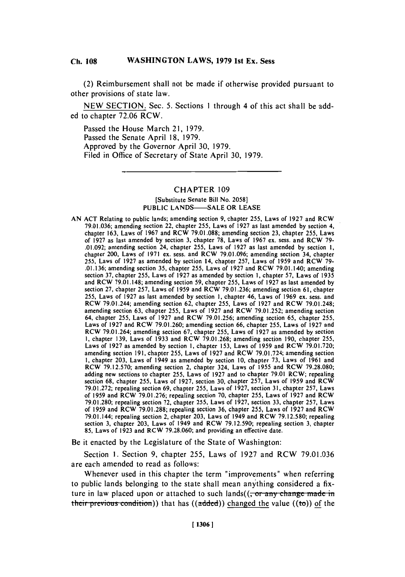#### WASHINGTON LAWS, 1979 1st Ex. Sess **Ch. 108**

(2) Reimbursement shall not be made if otherwise provided pursuant to other provisions of state law.

**NEW SECTION.** Sec. **5.** Sections **I** through 4 of this act shall be added to chapter **72.06** RCW.

Passed the House March 21, **1979.** Passed the Senate April **18, 1979.** Approved **by** the Governor April **30, 1979.** Filed in Office of Secretary of State April **30, 1979.**

## CHAPTER **109**

### [Substitute Senate Bill No. **2058] PUBLIC LANDS--SALE** OR **LEASE**

**AN ACT** Relating to public lands; amending section **9,** chapter **255,** Laws of **1927** and RCW **79.01,036;** amending section 22, chapter **255,** Laws of **1927** as last amended **by** section 4, chapter **163,** Laws of **1967** and RCW **79.01.088;** amending section **23,** chapter **255,** Laws of **1927** as last amended **by** section **3,** chapter **78,** Laws of **1967** ex. sess. and RCW **79- .01.092;** amending section 24, chapter **255,** Laws of **1927** as last amended **by** section **1,** chapter 200, Laws of **1971** ex. sess. and RCW **79.01.096;** amending section 34, chapter **255,** Laws of **1927** as amended **by** section 14, chapter **257,** Laws of **1959** and RCW **79- .01.136;** amending section **35,** chapter **255,** Laws of **1927** and RCW 79.01.140; amending section **37,** chapter **255,** Laws of **1927** as amended **by** section **1,** chapter **57,** Laws of **1935** and RCW **79.01.148;** amending section **59,** chapter *255,* Laws of **1927** as last amended **by** section **27,** chapter **257,** Laws of **1959** and RCW **79.01.236;** amending section **61,** chapter **255,** Laws of **1927** as last amended **by** section **1,** chapter 46, Laws of **1969** ex. sess. and RCW 79.01.244; amending section **62,** chapter **255,** Laws of **1927** and RCW **79.01.248;** amending section **63,** chapter *255,* Laws of **1927** and RCW **79.01.252;** amending section 64, chapter **255,** Laws of **1927** and RCW **79.01.256;** amending section **65,** chapter **255,** Laws of **1927** and RCW **79.01.260;** amending section **66,** chapter **255,** Laws of **1927** and RCW **79.01.264;** amending section **67,** chapter **255,** Laws of **1927** as amended **by** section **1,** chapter **139,** Laws of **1933** and RCW **79.01.268;** amending section **190,** chapter **255,** Laws of **1927** as amended **by** section **1,** chapter **153,** Laws of **1959** and RCW **79.01.720;** amending section **191,** chapter **255,** Laws of **1927** and RCW **79.01.724;** amending section **1,** chapter **203,** Laws of 1949 as amended **by** section **10,** chapter **73,** Laws of **1961** and RCW **79.12.570;** amending section 2, chapter 324, Laws of **1955** and RCW **79.28.080;** adding new sections to chapter **255,** Laws of **1927** and to chapter **79.01** RCW; repealing section **68,** chapter **255,** Laws of **1927,** section **30,** chapter **257,** Laws of **1959** and RCW **79.01.272;** repealing section **69,** chapter **255,** Laws of **1927,** section **31,** chapter **257,** Laws of **1959** and RCW **79.01.276;** repealing section **70,** chapter **255,** Laws of **1927** and RCW **79.01.280;** repealing section **72,** chapter **255,** Laws of **1927,** section **33,** chapter **257,** Laws of **1959** and RCW **79.01.288;** repealing section **36,** chapter **255,** Laws of **1927** and RCW 79.01.144; repealing section 2, chapter **203,** Laws of 1949 and RCW **79.12.580;** repealing section **3,** chapter **203,** Laws of 1949 and RCW **79.12.590;** repealing section **3,** chapter **85,** Laws of **1923** and RCW **79.28.060;** and providing an effective date.

Be it enacted **by** the Legislature of the State of Washington:

Section **1.** Section **9,** chapter *255,* Laws of **1927** and RCW **79.01.036** are each amended to read as follows:

Whenever used in this chapter the term "improvements" when referring to public lands belonging to the state shall mean anything considered a fixture in law placed upon or attached to such lands((<del>, or any change made i</del>n their previous condition)) that has ((added)) changed the value ((to)) of the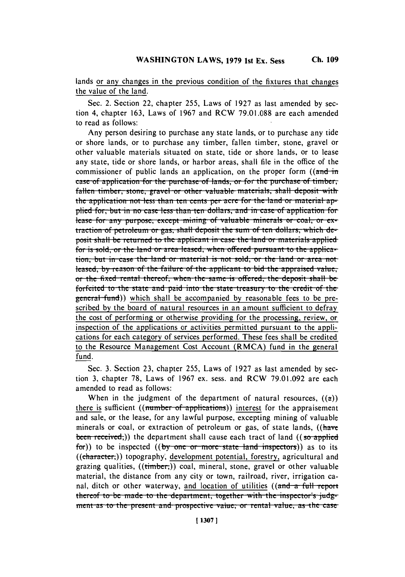lands or any changes in the previous condition of the fixtures that changes the value of the land.

Sec. 2. Section 22, chapter **255,** Laws of **1927** as last amended **by** section 4, chapter **163,** Laws of **1967** and RCW **79.01.088** are each amended to read as follows:

Any person desiring to purchase any state lands, or to purchase any tide or shore lands, or to purchase any timber, fallen timber, stone, gravel or other valuable materials situated on state, tide or shore lands, or to lease any state, tide or shore lands, or harbor areas, shall file in the office of the commissioner of public lands an application, on the proper form  $((\text{and} \text{in})$ case of application for the purchase of lands, or for the purchase of timber, fallen timber, stone, gravel or other valuable materials, shall deposit with the application not less than ten cents per acre for the land or material applied for, but in no case less than ten dollars, and in case of application for lease for any purpose, except mining of valuable minerals or coal, or ex**traction of petroleum or gas, shall deposit the sum of ten dollars, which de**posit shall be returned to the applicant in case the land or materials applied for is sold, or the land or area leased, when offered pursuant to the applica**tion, but in case the land or material is not sold, or the land or area not** leased, by reason of the failure of the applicant to bid the appraised value, or the fixed rental thereof, when the same is offered, the deposit shall be forfeited to the state and paid into the state treasury to the credit of the general-fund)) which shall be accompanied **by** reasonable fees to be prescribed **by** the board of natural resources in an amount sufficient to defray the cost of performing or otherwise providing for the processing, review, or inspection of the applications or activities permitted pursuant to the applications for each category of services performed. These fees shall be credited to the Resource Management Cost Account (RMCA) fund in the general fund.

Sec. **3.** Section **23,** chapter **255,** Laws of **1927** as last amended **by** section **3,** chapter **78,** Laws of **1967** ex. sess. and RCW **79.01.092** are each amended to read as follows:

When in the judgment of the department of natural resources,  $((a))$ there is sufficient ((number of applications)) interest for the appraisement and sale, or the lease, for any lawful purpose, excepting mining of valuable minerals or coal, or extraction of petroleum or gas, of state lands, ((have been received;) the department shall cause each tract of land  $((so\+applied\+)$ for)) to be inspected ((by one or more state land inspectors)) as to its  $((character_{i}))$  topography, development potential, forestry, agricultural and grazing qualities,  $((time)$  coal, mineral, stone, gravel or other valuable material, the distance from any city or town, railroad, river, irrigation canal, ditch or other waterway, and location of utilities ( $(\text{and } a$ -full-report thereof to be made to the department, together with the inspector's judgment as to the present and prospective value, or rental value, as the case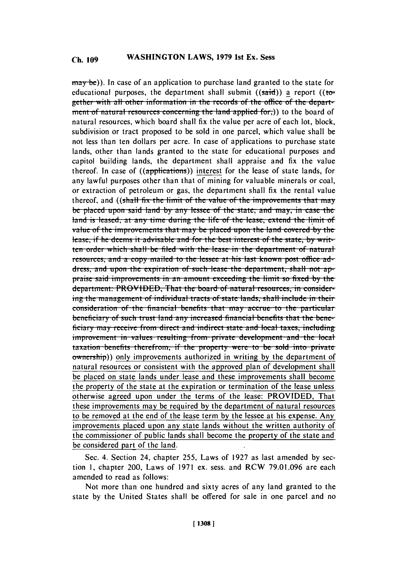may be)). In case of an application to purchase land granted to the state for educational purposes, the department shall submit  $((said))$  a report  $((to$ gether with all other information in the records of the office of the department of natural resources concerning the land applied for.)) to the board of natural resources, which board shall fix the value per acre of each lot, block, subdivision or tract proposed to be sold in one parcel, which value shall be not less than ten dollars per acre. In case of applications to purchase state lands, other than lands granted to the state for educational purposes and capitol building lands, the department shall appraise and fix the value thereof. In case of ((applications)) interest for the lease of state lands, for any lawful purposes other than that of mining for valuable minerals or coal, or extraction of petroleum or gas, the department shall fix the rental value thereof, and ((shall fix the limit of the value of the improvements that may be placed upon said land by any lessee of the state, and may, in case the land is leased, at any time during the life of the lease, extend the limit of value of the improvements that may be placed upon the land covered by the lease, if he deems it advisable and for the best interest of the state, by written order which shall be filed with the lease in the department of natural resources, and a copy mailed to the lessee at his last known post office address, and upon the expiration of such lease the department, shall not appraise said improvements in an amount exceeding the limit so fixed by the department: PROVIDED, That the board of natural resources, in considering the management of individual tracts of state lands; shall include in their consideration of the financial benefits that may accrue to the particular beneficiary of such trust land any increased financial benefits that the beneficiary may receive from direct and indirect state and local taxes, including improvement in values resulting from private development and the local taxation benefits therefrom, if the property were to be sold into private ownership)) only improvements authorized in writing by the department of natural resources or consistent with the approved plan of development shall be placed on state lands under lease and these improvements shall become the property of the state at the expiration or termination of the lease unless otherwise agreed upon under the terms of the lease: PROVIDED, That these improvements may be required by the department of natural resources to be removed at the end of the lease term by the lessee at his expense. Any improvements placed upon any state lands without the written authority of the commissioner of public lands shall become the property of the state and be considered part of the land.

Sec. 4. Section 24, chapter 255, Laws of 1927 as last amended by section 1, chapter 200, Laws of 1971 ex. sess. and RCW 79.01.096 are each amended to read as follows:

Not more than one hundred and sixty acres of any land granted to the state by the United States shall be offered for sale in one parcel and no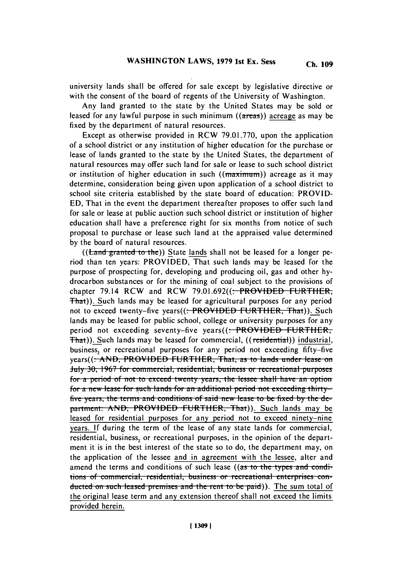university lands shall **be** offered for sale except **by** legislative directive or with the consent of the board of regents of the University of Washington.

Any land granted to the state **by** the United States may be sold or leased for any lawful purpose in such minimum ((areas)) acreage as may be fixed **by** the department of natural resources.

Except as otherwise provided in **RCW 79.01.770,** upon the application of a school district or any institution of higher education for the purchase or lease of lands granted to the state **by** the United States, the department of natural resources may offer such land for sale or lease to such school district or institution of higher education in such  $((maximum))$  acreage as it may determine, consideration being given upon application of a school district to school site criteria established **by** the state board of education: PROVID-**ED,** That in the event the department thereafter proposes to offer such land for sale or lease at public auction such school district or institution of higher education shall have a preference right for six months from notice of such proposal to purchase or lease such land at the appraised value determined **by** the board of natural resources.

((**Land granted to the**)) State lands shall not be leased for a longer period than ten years: PROVIDED, That such lands may be leased for the purpose of prospecting for, developing and producing oil, gas and other **hy**drocarbon substances or for the mining of coal subject to the provisions of chapter 79.14 RCW and RCW **79.01.692((.** PROVIDED FURTHER-, That)). Such lands may be leased for agricultural purposes for any period not to exceed twenty-five years((<del>: PROVIDED FURTHER, That</del>)). Such lands may be leased for public school, college or university purposes for any period not exceeding seventy-five years((: PROVIDED FURTHER, That)). Such lands may be leased for commercial, ((residential)) industrial, business, or recreational purposes for any period not exceeding fifty-five years((<del>; AND, PROVIDED FURTHER, That, as to lands under lease on</del> **July 30, 1967 for commercial, residential, business or recreational purposes for a period of not to exceed twenty years, the lessee shall have an option** *for a new lease for such lands for an additional period not exceeding thirty*five years, the terms and conditions of said new lease to be fixed by the department: AND, PROVIDED FURTHER, That)). Such lands may be leased for residential purposes for any period not to exceed ninety-nine years. **If** during the term of the lease of any state lands for commercial, residential, business, or recreational purposes, in the opinion of the department it is in the best interest of the state so to do, the department may, on the application of the lessee and in agreement with the lessee, alter and amend the terms and conditions of such lease ((as to the types and condi $t$  *ions* of commercial, residential, business or recreational enterprises conducted on such leased premises and the rent to be paid)). The sum total of the original lease term and any extension thereof shall not exceed the limits provided herein.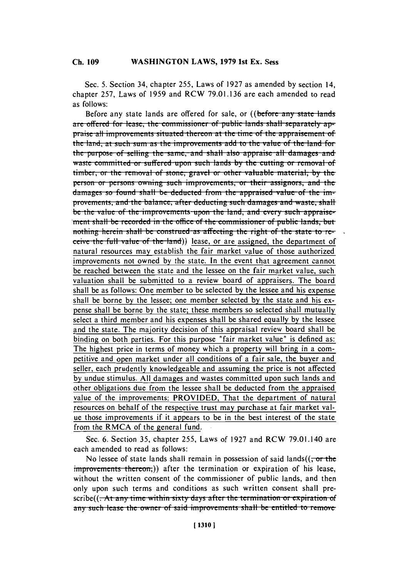#### **WASHINGTON LAWS, 1979 1st Ex. Sess** Ch. 109

Sec. 5. Section 34, chapter 255, Laws of 1927 as amended by section 14, chapter 257, Laws of 1959 and RCW 79.01.136 are each amended to read as follows:

Before any state lands are offered for sale, or ((before any state lands are offered for lease, the commissioner of public lands shall separately appraise all improvements situated thereon at the time of the appraisement of the land, at such sum as the improvements add to the value of the land for the purpose of selling the same, and shall also appraise all damages and waste committed or suffered upon such lands by the cutting or removal of timber, or the removal of stone, gravel or other valuable material, by the person or persons owning such improvements, or their assignors, and the damages so found shall be deducted from the appraised value of the improvements, and the balance, after deducting such damages and waste, shall be the value of the improvements upon the land, and every such appraisement shall be recorded in the office of the commissioner of public lands, but nothing herein shall be construed as affecting the right of the state to receive the full value of the land)) lease, or are assigned, the department of natural resources may establish the fair market value of those authorized improvements not owned by the state. In the event that agreement cannot be reached between the state and the lessee on the fair market value, such valuation shall be submitted to a review board of appraisers. The board shall be as follows: One member to be selected by the lessee and his expense shall be borne by the lessee; one member selected by the state and his expense shall be borne by the state; these members so selected shall mutually select a third member and his expenses shall be shared equally by the lessee and the state. The majority decision of this appraisal review board shall be binding on both parties. For this purpose "fair market value" is defined as: The highest price in terms of money which a property will bring in a competitive and open market under all conditions of a fair sale, the buyer and seller, each prudently knowledgeable and assuming the price is not affected by undue stimulus. All damages and wastes committed upon such lands and other obligations due from the lessee shall be deducted from the appraised value of the improvements: PROVIDED, That the department of natural resources on behalf of the respective trust may purchase at fair market value those improvements if it appears to be in the best interest of the state from the RMCA of the general fund.

Sec. 6. Section 35, chapter 255, Laws of 1927 and RCW 79.01.140 are each amended to read as follows:

No lessee of state lands shall remain in possession of said lands $((\tau, \sigma, \tau))$ improvements thereon.)) after the termination or expiration of his lease, without the written consent of the commissioner of public lands, and then only upon such terms and conditions as such written consent shall pre $scribe((-At any time within sixty days after the termination or expiration of)$ any such lease the owner of said improvements shall be entitled to remove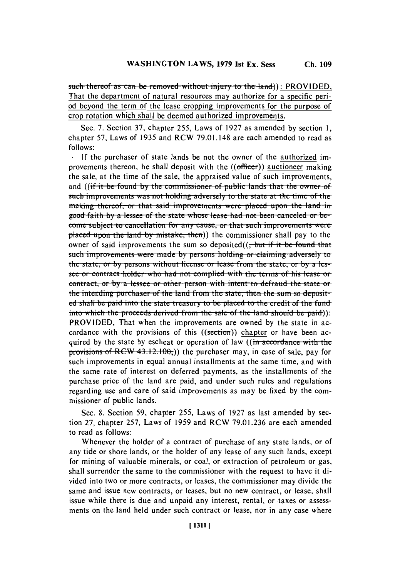such thereof as can be removed without injury to the land)): PROVIDED. That the department of natural resources may authorize for a specific period beyond the term of the lease cropping improvements for the purpose of crop rotation which shall be deemed authorized improvements.

Sec. 7. Section 37, chapter 255, Laws of 1927 as amended by section 1, chapter 57, Laws of 1935 and RCW 79.01.148 are each amended to read as follows:

If the purchaser of state lands be not the owner of the authorized improvements thereon, he shall deposit with the  $((officer))$  auctioneer making the sale, at the time of the sale, the appraised value of such improvements, and ((if it be found by the commissioner of public lands that the owner of such improvements was not holding adversely to the state at the time of the making thereof, or that said improvements were placed upon the land in good faith by a lessee of the state whose lease had not been canceled or become subject to cancellation for any cause, or that such improvements were placed upon the land by mistake, then)) the commissioner shall pay to the owner of said improvements the sum so deposited $((\frac{1}{2}$  but if it be found that such improvements were made by persons holding or claiming adversely to the state, or by persons without license or lease from the state, or by a lessee or contract holder who had not complied with the terms of his lease or contract, or by a lessee or other person with intent to defraud the state or the intending purchaser of the land from the state, then the sum so deposited shall be paid into the state treasury to be placed to the credit of the fundinto which the proceeds derived from the sale of the land should be paid)): PROVIDED, That when the improvements are owned by the state in accordance with the provisions of this ((section)) chapter or have been acquired by the state by escheat or operation of law ((in accordance with the provisions of RCW 43.12.100.) the purchaser may, in case of sale, pay for such improvements in equal annual installments at the same time, and with the same rate of interest on deferred payments, as the installments of the purchase price of the land are paid, and under such rules and regulations regarding use and care of said improvements as may be fixed by the commissioner of public lands.

Sec. 8. Section 59, chapter 255, Laws of 1927 as last amended by section 27, chapter 257, Laws of 1959 and RCW 79.01.236 are each amended to read as follows:

Whenever the holder of a contract of purchase of any state lands, or of any tide or shore lands, or the holder of any lease of any such lands, except for mining of valuable minerals, or coal, or extraction of petroleum or gas, shall surrender the same to the commissioner with the request to have it divided into two or more contracts, or leases, the commissioner may divide the same and issue new contracts, or leases, but no new contract, or lease, shall issue while there is due and unpaid any interest, rental, or taxes or assessments on the land held under such contract or lease, nor in any case where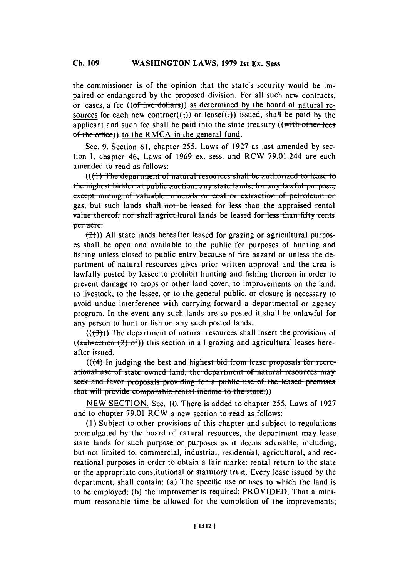#### **Ch. WASHINGTON 109 LAWS, 1979 1st Ex. Sess Ch. 109**

the commissioner is of the opinion that the state's security would be impaired or endangered **by** the proposed division. For all such new contracts, or leases, a fee ((of five dolla-rs)) as determined **by** the board of natural resources for each new contract( $(3)$ ) or lease( $(5)$ ) issued, shall be paid by the applicant and such fee shall be paid into the state treasury ((with other fee of the office)) to the RMCA in the general fund.

Sec. **9.** Section **61,** chapter *255,* Laws of **1927** as last amended **by** section **1,** chapter 46, Laws of **1969** ex. sess. and RCW 79.01.244 are each amended to read as follows:

**(((1) The department of natural resources shall be authorized to lease to the highest bidder at public auction, any state lands, for any lawful purpose, cxcept mining of valuable minerals or coal or extraction of petroleum or** gas, but such lands shall not be leased for less than the appraised rental value thereof, nor shall agricultural lands be leased for less than fifty cents per acre.

(-24)) **All** state lands hereafter leased for grazing or agricultural purposes shall be open and available to the public for purposes of hunting and fishing unless closed to public entry because of fire hazard or unless the department of natural resources gives prior written approval and the area is lawfully posted **by** lessee to prohibit hunting and fishing thereon in order to prevent damage to crops or other land cover, to improvements on the land, to livestock, to the lessee, or to the general public, or closure is necessary to avoid undue interference with carrying forward a departmental or agency program. In the event any such lands are so posted it shall be unlawful for any person to hunt or fish on any such posted lands.

 $((+3))$  The department of natural resources shall insert the provisions of ((subsection  $(2)$  of)) this section in all grazing and agricultural leases hereafter issued.

(((4) In judging the best and highest bid from lease proposals for recreational use of state owned land, the department of natural resources may seek and favor proposals providing for a public use of the leased premises **that will provide comparable rental income to the state.))** 

**NEW SECTION.** Sec. **10.** There is added to chapter *255,* Laws of **1927** and to chapter **79.01 RCW** a new section to read as follows:

**(I)** Subject to other provisions of this chapter and subject to regulations promulgated **by** the board of natural resources, the department may lease state lands for such purpose or purposes as it deems advisable, including, but not limited to, commercial, industrial, residential, agricultural, and recreational purposes in order to obtain a fair market rental return to the state or the appropriate constitutional or statutory trust. Every lease issued **by** the department, shall contain: (a) The specific use or uses to which the land is to be employed; **(b)** the improvements required: PROVIDED, That a minimum reasonable time be allowed for the completion of the improvements;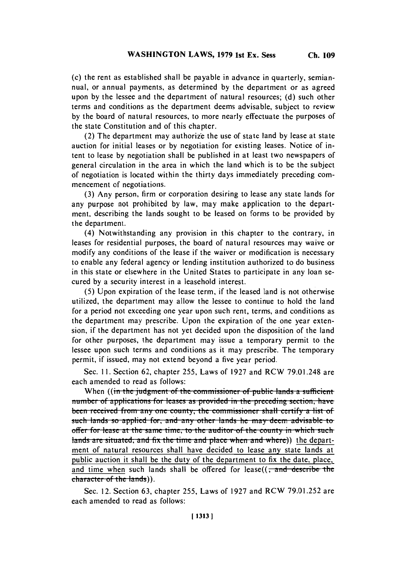(c) the rent as established shall be payable in advance in quarterly, semiannual, or annual payments, as determined **by** the department or as agreed upon **by** the lessee and the department of natural resources; **(d)** such other terms and conditions as the department deems advisable, subject to review **by** the board of natural resources, to more nearly effectuate the purposes of the state Constitution and of this chapter.

(2) The department may authorize the use of state land **by** lease at state auction for initial leases or **by** negotiation for existing leases. Notice of intent to lease **by** negotiation shall be published in at least two newspapers of general circulation in the area in which the land which is to be the subject of negotiation is located within the thirty days immediately preceding commencement of negotiations.

**(3)** Any person, firm or corporation desiring to lease any state lands for any purpose not prohibited **by** law, may make application to the department, describing the lands sought to be leased on forms to be provided **by** the department.

(4) Notwithstanding any provision in this chapter to the contrary, in leases for residential purposes, the board of natural resources may waive or modify any conditions of the lease if the waiver or modification is necessary to enable any federal agency or lending institution authorized to do business in this state or elsewhere in the United States to participate in any loan secured **by** a security interest in a leasehold interest.

**(5)** Upon expiration of the lease term, if the leased land is not otherwise utilized, the department may allow the lessee to continue to hold the land for a period not exceeding one year upon such rent, terms, and conditions as the department may prescribe. Upon the expiration of the one year extension, if the department has not yet decided upon the disposition of the land for other purposes, the department may issue a temporary permit to the lessee upon such terms and conditions as it may prescribe. The temporary permit, if issued, may not extend beyond a five year period.

Sec. **11.** Section **62,** chapter **255,** Laws of **1927** and RCW **79.01.248** are each amended to read as follows:

When ((in the judgment of the commissioner of public lands a sufficient number of applications for leases as provided in the preceding section, have **been received from any one county, the commissioner shall certify a list of** such lands so applied for, and any other lands he may deem advisable to offer for lease at the same time, to the auditor of the county in which such lands are situated, and fix the time and place when and where)) the department of natural resources shall have decided to lease any state lands at public auction it shall be the duty of the department to fix the date, place, and time when such lands shall be offered for lease $((, and describe the$ character of the lands)).

Sec. 12. Section **63,** chapter **255,** Laws of **1927** and RCW **79.01.252** are each amended to read as follows: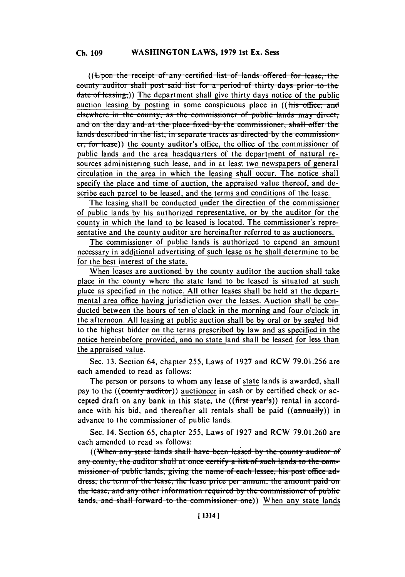# **Ch. 109 WASHINGTON LAWS, 1979 1st Ex. Sess**

((Upon the receipt of any certified list of lands offered for lease, thecounty auditor shall post said list for a period of thirty days prior to the  $\frac{data - of\,less\,ing}{$ ) The department shall give thirty days notice of the publicauction leasing **by** posting in some conspicuous place in ((his office, and **elsewhere in the county, as the commissioner of public lands may direct,** and on the day and at the place fixed by the commissioner, shall offer the **lands described in the list, in separate tracts as directed by the commission** $er, for *least*)$ ) the county auditor's office, the office of the commissioner of public lands and the area headquarters of the department of natural resources administering such lease, and in at least two newspapers of general circulation in the area in which the leasing shall occur. The notice shall specify the place and time of auction, the appraised value thereof, and describe each parcel to be leased, and the terms and conditions of the lease.

The leasing shall be conducted under the direction of the commissioner of public lands **by** his authorized representative, or **by** the auditor for the county in which the land to be leased is located. The commissioner's representative and the county auditor are hereinafter referred to as auctioneers.

The commissioner of public lands is authorized to expend an amount necessary in additional advertising of such lease as he shall determine to be for the best interest of the state.

When leases are auctioned **by** the county auditor the auction shall take place in the county where the state land to be leased is situated at such place as specified in the notice. **All** other leases shall be held at the departmental area office having jurisdiction over the leases. Auction shall be conducted between the hours of ten o'clock in the morning and four o'clock in the afternoon. **All** leasing at public auction shall be **by** oral or **by** sealed bid to the highest bidder on the terms prescribed by law and as specified in the notice hereinbefore provided, and no state land shall be leased for less than the appraised value.

Sec. **13.** Section 64, chapter **255,** Laws of **1927** and RCW **79.01.256** are each amended to read as follows:

The person or persons to whom any lease of state lands is awarded, shall pay to the ((county auditor)) auctioneer in cash or by certified check or accepted draft on any bank in this state, the  $((\text{first year's}))$  rental in accordance with his bid, and thereafter all rentals shall be paid  $((\text{annually}))$  in advance to the commissioner of public lands.

Sec. 14. Section **65,** chapter **255,** Laws of **1927** and RCW **79.01.260** are each amended to read as follows:

((When any state lands shall have been leased by the county auditor of *any county, the auditor shall at once certify a list of such lands to the com*missioner of public lands, giving the name of each lessee, his post office address, the term of the lease, the lease price per annum, the amount paid on *the lease, and any other information required by the commissioner of public* lands, and shall forward to the commissioner one)) When any state lands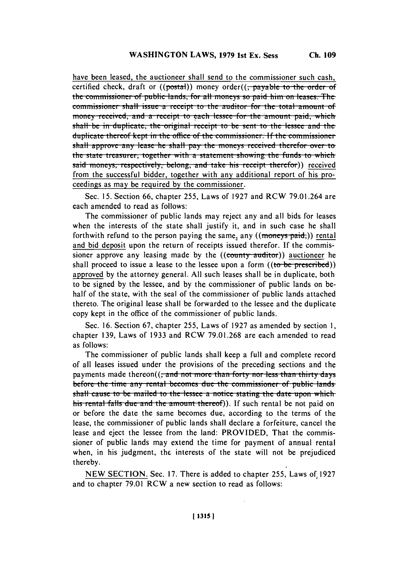have been leased, the auctioneer shall send to the commissioner such cash, certified check, draft or ((postal)) money order((<del>, payable to the order of</del> the commissioner of public lands, for all moneys so paid him on leases. The commissioner shall issue a receipt to the auditor for the total amount of money received, and a receipt to each lessee for the amount paid, which shall be in duplicate, the original receipt to be sent to the lessee and the duplicate thereof kept in the office of the commissioner. If the commissioner shall approve any lease he shall pay the moneys received therefor over to the state treasurer, together with a statement showing the funds to which said moneys, respectively, belong, and take his receipt therefor)) received from the successful bidder, together with any additional report of his proceedings as may be required by the commissioner.

Sec. 15. Section 66, chapter 255, Laws of 1927 and RCW 79.01.264 are each amended to read as follows:

The commissioner of public lands may reject any and all bids for leases when the interests of the state shall justify it, and in such case he shall forthwith refund to the person paying the same, any  $((\text{moneys paid}))$  rental and bid deposit upon the return of receipts issued therefor. If the commissioner approve any leasing made by the ((county auditor)) auctioneer he shall proceed to issue a lease to the lessee upon a form  $((to be prescribed))$ approved by the attorney general. All such leases shall be in duplicate, both to be signed by the lessee, and by the commissioner of public lands on behalf of the state, with the seal of the commissioner of public lands attached thereto. The original lease shall be forwarded to the lessee and the duplicate copy kept in the office of the commissioner of public lands.

Sec. 16. Section 67, chapter 255, Laws of 1927 as amended by section 1, chapter 139, Laws of 1933 and RCW 79.01.268 are each amended to read as follows:

The commissioner of public lands shall keep a full and complete record of all leases issued under the provisions of the preceding sections and the payments made thereon( $\left(\frac{1}{2} \text{ and not more than forty nor less than thirty days}\right)$ before the time any rental becomes due the commissioner of public lands shall cause to be mailed to the lessee a notice stating the date upon which his rental falls due and the amount thereof)). If such rental be not paid on or before the date the same becomes due, according to the terms of the lease, the commissioner of public lands shall declare a forfeiture, cancel the lease and eject the lessee from the land: PROVIDED. That the commissioner of public lands may extend the time for payment of annual rental when, in his judgment, the interests of the state will not be prejudiced thereby.

NEW SECTION. Sec. 17. There is added to chapter 255, Laws of 1927 and to chapter 79.01 RCW a new section to read as follows: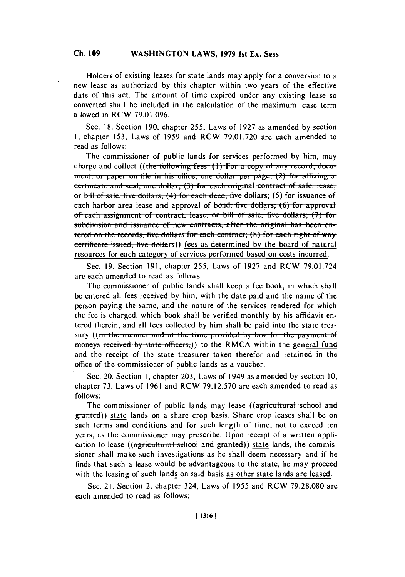### **Ch. WASHINGTON 109 LAWS, 1979 1st Ex. Sess Ch. 109**

Holders of existing leases for state lands may apply for a conversion to a new lease as authorized **by** this chapter within two years of the effective date of this act. The amount of time expired under any existing lease so converted shall be included in the calculation of the maximum lease term allowed in RCW **79.01.096.**

Sec. **18.** Section **190,** chapter **255,** Laws of **1927** as amended **by** section **1,** chapter **153,** Laws of **1959** and RCW **79.01.720** are each amended to read as follows:

The commissioner of public lands for services performed **by** him, may charge and collect ((the following fees: (1) For a copy of any record, document, or paper on file in his office, one dollar per page; (2) for affixing a certificate and seal, one dollar; (3) for each original contract of sale, lease, or bill of sale, five dollars; (4) for each deed, five dollars; (5) for issuance of **each harbor area lease and approval of bond, five dollars; (6) for approval** of each assignment of contract, lease, or bill of sale, five dollars: (7) for **subdivision and issuance of new contracts, after the original has been en**tered on the records, five dollars for each contract; (8) for each right of way certificate issued, five dollars) fees as determined by the board of natural resources for each category of services performed based on costs incurred.

Sec. **19.** Section **191,** chapter **255,** Laws of **1927** and RCW **79.01.724** are each amended to read as follows:

The commissioner of public lands shall keep a fee book, in which shall be entered all fees received **by** him, with the date paid and the name of the person paying the same, and the nature of the services rendered for which the fee is charged, which book shall **be** verified monthly **by** his affidavit entered therein, and all fees collected **by** him shall be paid into the state treasury ((in the manner and at the time provided by law for the payment of moneys received by state officers,)) to the RMCA within the general fund and the receipt of the state treasurer taken therefor and retained in the office of the commissioner of public lands as a voucher.

Sec. 20. Section **1,** chapter **203,** Laws of 1949 as amended **by** section **10,** chapter **73,** Laws of **1961** and RCW **79.12.570** are each amended to read as **follows:**

The commissioner of public lands may lease **((agricultural** school **and** granted)) state lands on a share crop basis. Share crop leases shall be on such terms and conditions and for such length of time, not to exceed ten years, as the commissioner may prescribe. Upon receipt of a written application to lease ((agricultural school and granted)) state lands, the commissioner shall make such investigations as he shall deem necessary and if he finds that such a lease would **be** advantageous to the state, he may proceed with the leasing of such lands on said basis as other state lands are leased.

Sec. 21. Section 2, chapter 324, Laws of **1955** and RCW **79.28.080** are each amended to read as follows: